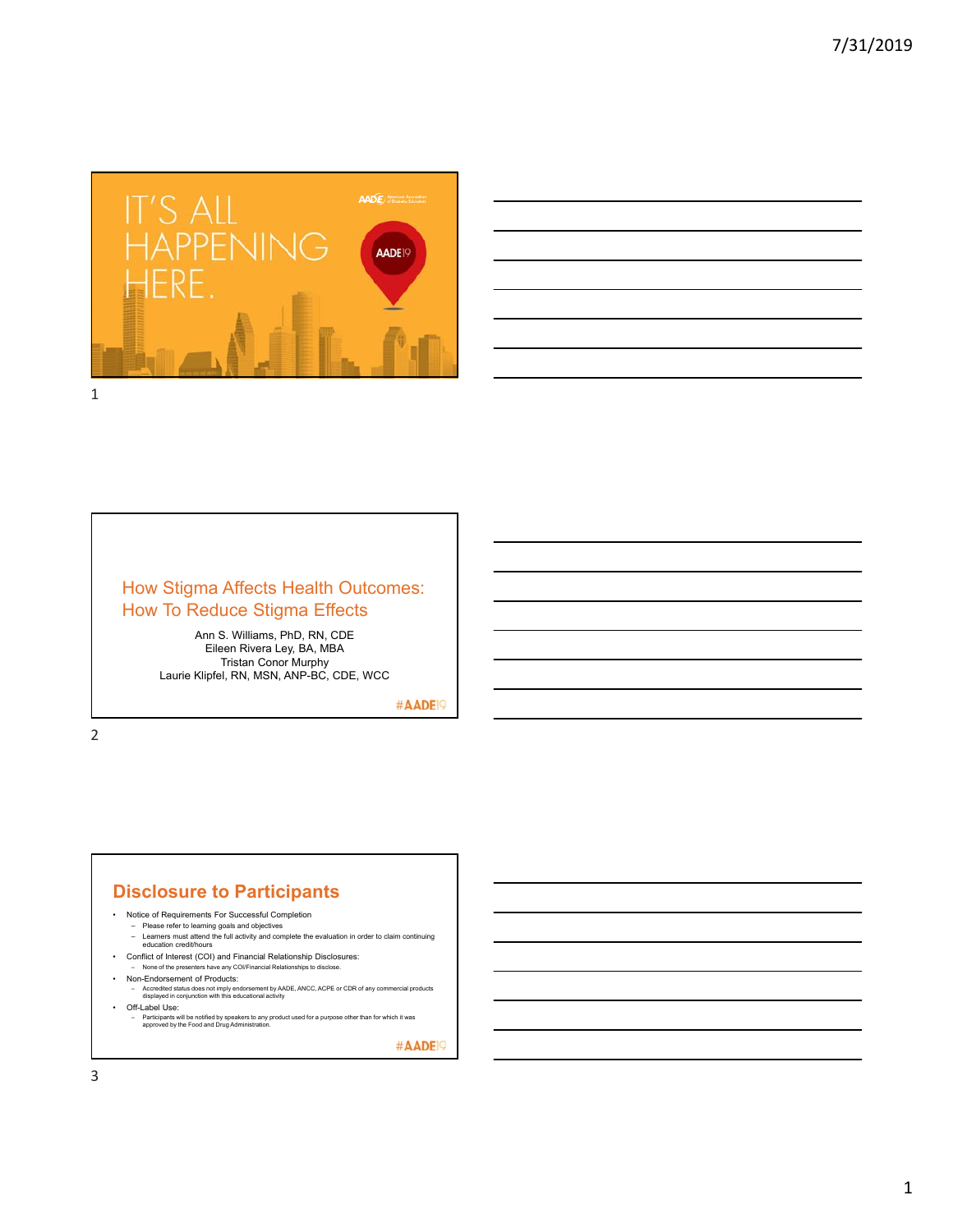



## How Stigma Affects Health Outcomes: How To Reduce Stigma Effects

Ann S. Williams, PhD, RN, CDE Eileen Rivera Ley, BA, MBA Tristan Conor Murphy Laurie Klipfel, RN, MSN, ANP-BC, CDE, WCC

#AADE<sup>19</sup>

2

## **Disclosure to Participants**

- Notice of Requirements For Successful Completion
	-
	- Please refer to learning goals and objectives Learners must attend the full activity and complete the evaluation in order to claim continuing education credit/hours
- Conflict of Interest (COI) and Financial Relationship Disclosures:
	- None of the presenters have any COI/Financial Relationships to disclose.
	- Non-Endorsement of Products:
- Accredited status does not imply endorsement by AADE, ANCC, ACPE or CDR of any commercial products displayed in conjunction with this educational activity • Off-Label Use:
	-
	- Participants will be notified by speakers to any product used for a purpose other than for which it was approved by the Food and Drug Administration.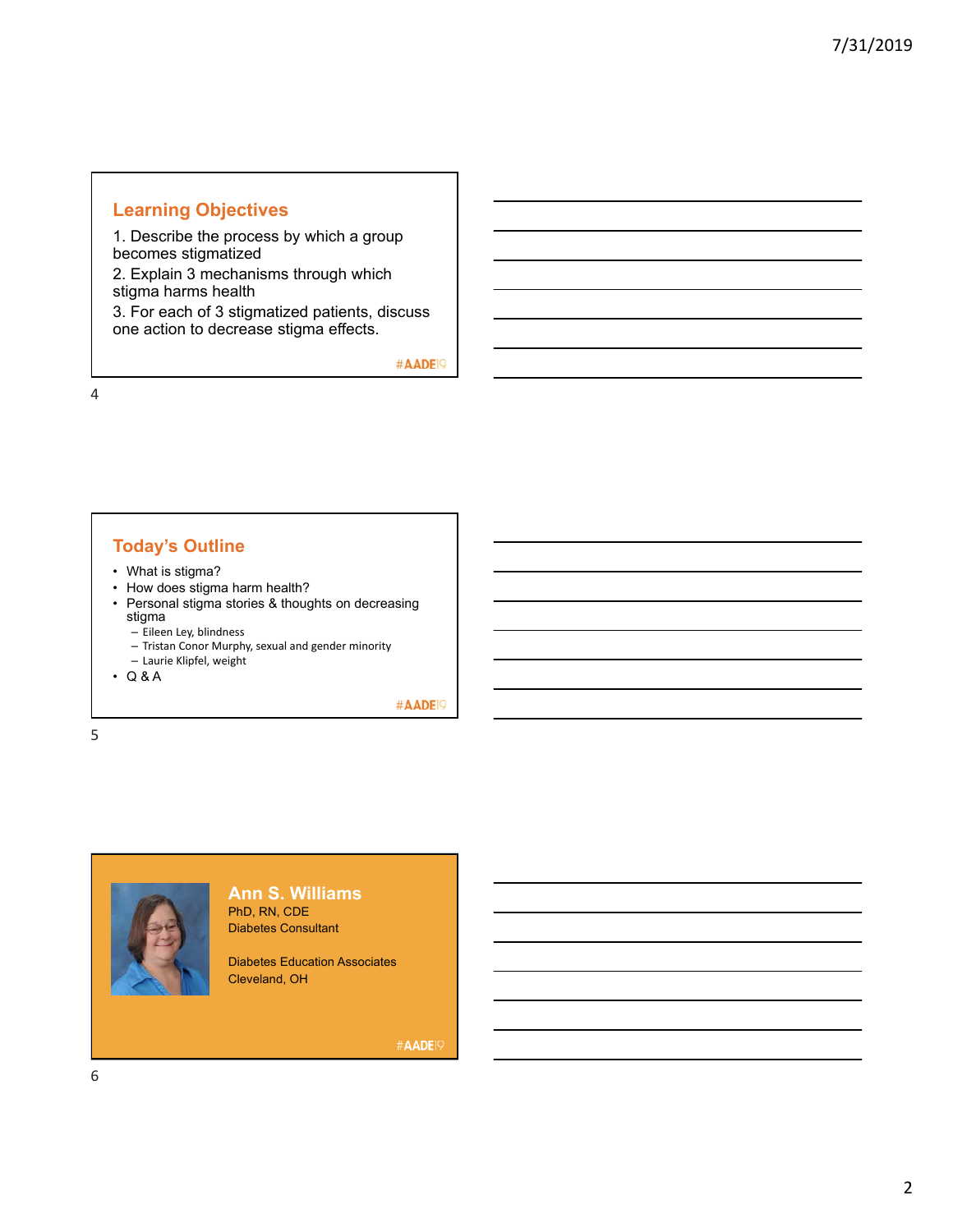## **Learning Objectives**

1. Describe the process by which a group becomes stigmatized

2. Explain 3 mechanisms through which stigma harms health

3. For each of 3 stigmatized patients, discuss one action to decrease stigma effects.

#AADE<sup>19</sup>

4

## **Today's Outline**

- What is stigma?
- How does stigma harm health?
- Personal stigma stories & thoughts on decreasing stigma
	- Eileen Ley, blindness
	- Tristan Conor Murphy, sexual and gender minority
	- Laurie Klipfel, weight
- Q & A

#AADE<sup>19</sup>

5



**Ann S. Williams** PhD, RN, CDE Diabetes Consultant

Diabetes Education Associates Cleveland, OH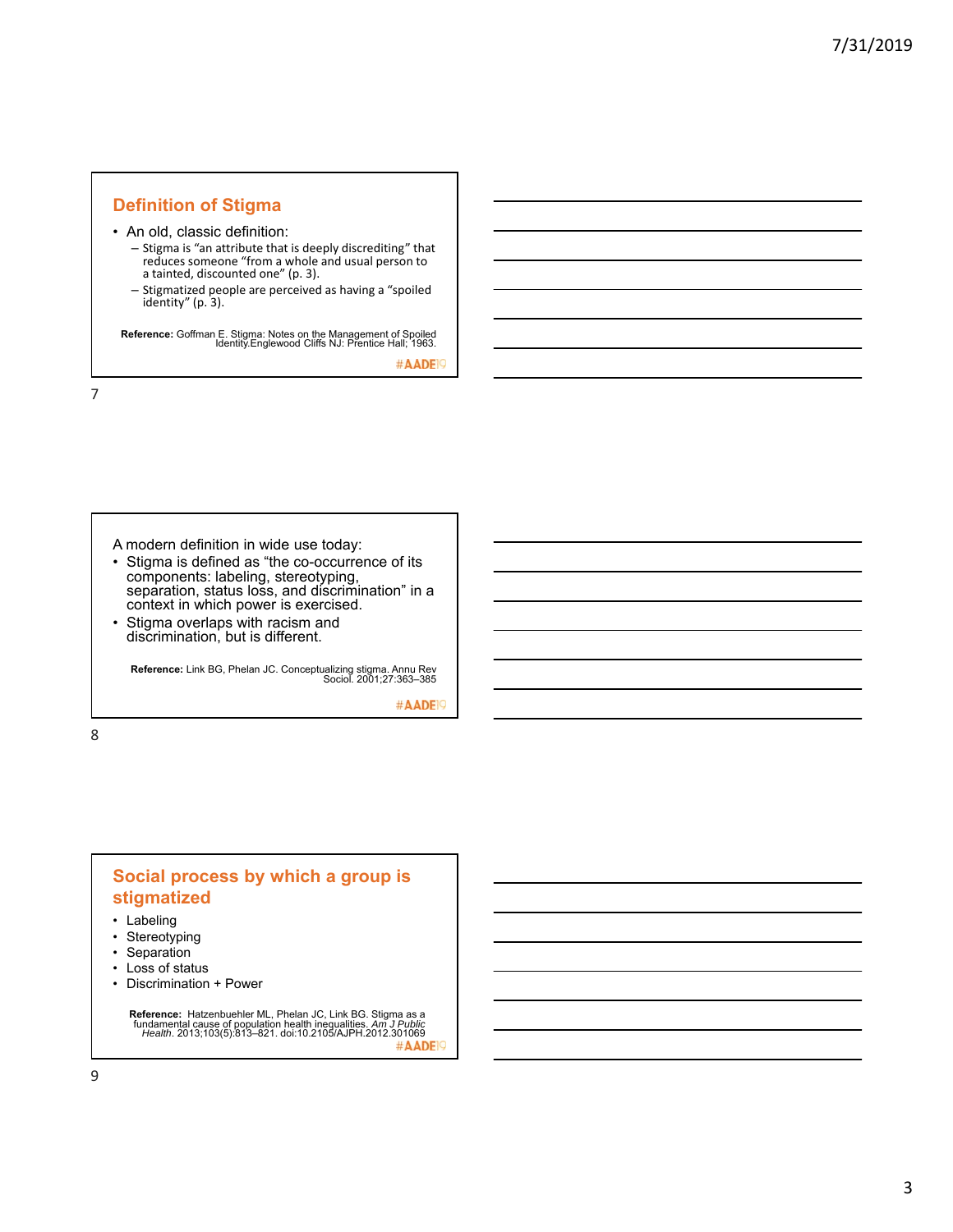#### **Definition of Stigma**

• An old, classic definition:

- Stigma is "an attribute that is deeply discrediting" that reduces someone "from a whole and usual person to a tainted, discounted one" (p. 3).
- Stigmatized people are perceived as having a "spoiled identity" (p. 3).

**Reference:** Goffman E. Stigma: Notes on the Management of Spoiled Identity.Englewood Cliffs NJ: Prentice Hall; 1963.

#AADE<sup>1</sup>

7

A modern definition in wide use today:

- Stigma is defined as "the co-occurrence of its components: labeling, stereotyping, separation, status loss, and discrimination" in a context in which power is exercised.
- Stigma overlaps with racism and discrimination, but is different.

**Reference:** Link BG, Phelan JC. Conceptualizing stigma. Annu Rev Sociol. 2001;27:363–385

#AADE<sup>19</sup>

8

#### **Social process by which a group is stigmatized**

- Labeling
- Stereotyping
- Separation
- Loss of status
- Discrimination + Power

**Reference:** Hatzenbuehler ML, Phelan JC, Link BG. Stigma as a fundamental cause of population health inequalities. *Am J Public Health*. 2013;103(5):813–821. doi:10.2105/AJPH.2012.301069 #AADE<sup>19</sup>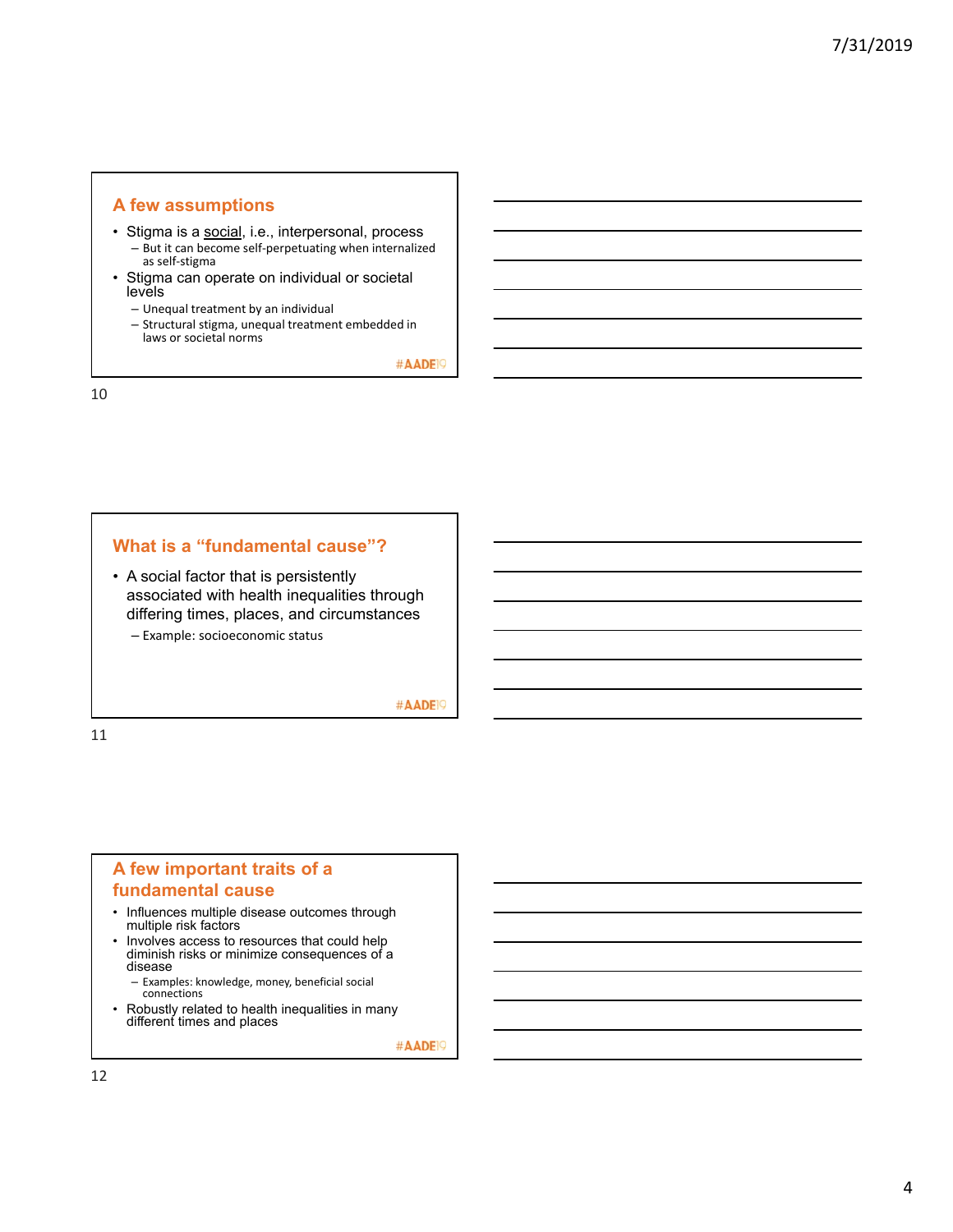#### **A few assumptions**

- Stigma is a social, i.e., interpersonal, process – But it can become self‐perpetuating when internalized as self‐stigma
- Stigma can operate on individual or societal levels
	- Unequal treatment by an individual
	- Structural stigma, unequal treatment embedded in laws or societal norms

#AADE<sup>19</sup>

10

#### **What is a "fundamental cause"?**

• A social factor that is persistently associated with health inequalities through differing times, places, and circumstances – Example: socioeconomic status

#AADE<sup>19</sup>

11

### **A few important traits of a fundamental cause**

- Influences multiple disease outcomes through multiple risk factors
- Involves access to resources that could help diminish risks or minimize consequences of a disease
	- Examples: knowledge, money, beneficial social connections
- Robustly related to health inequalities in many different times and places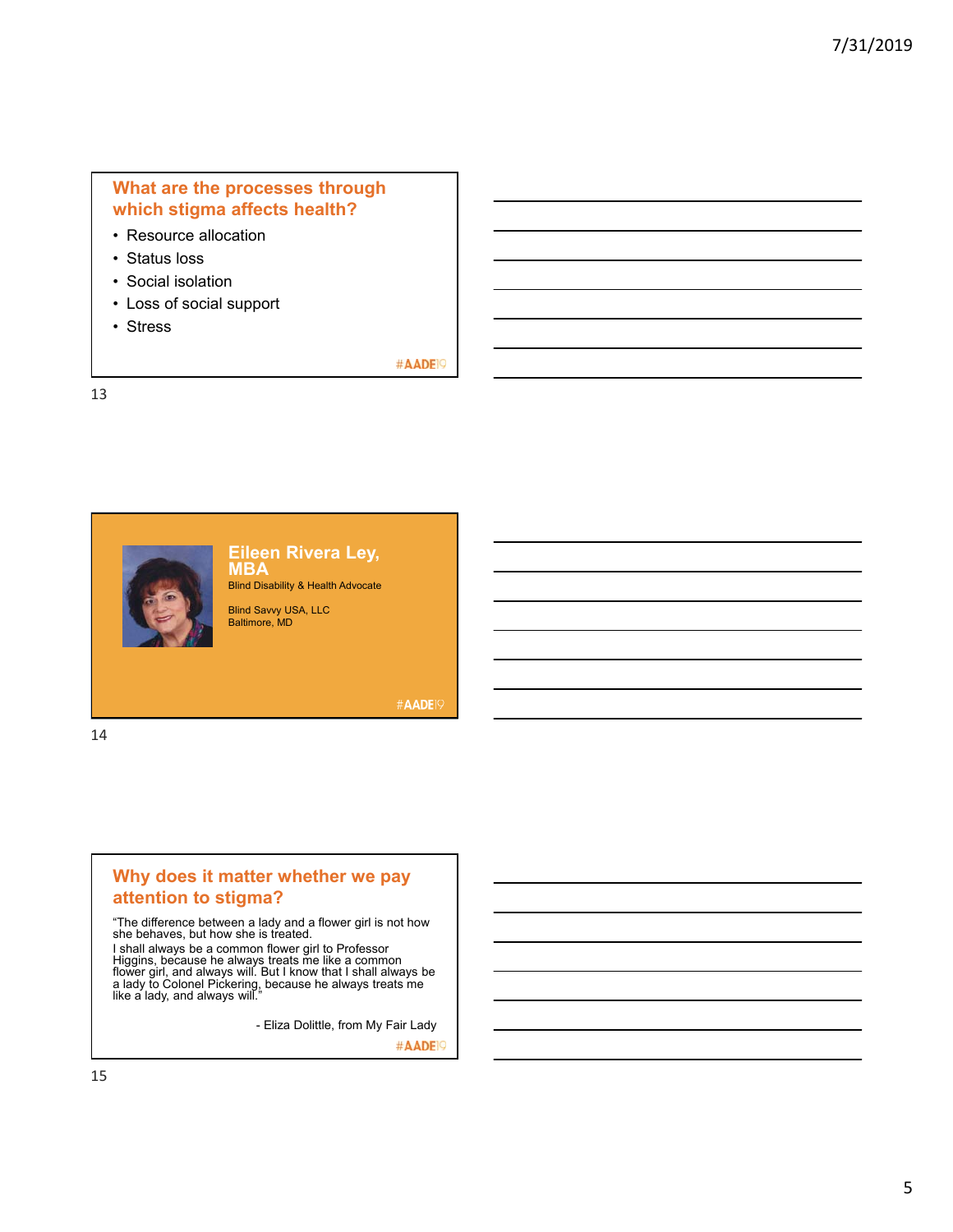# **What are the processes through which stigma affects health?**

- Resource allocation
- Status loss
- Social isolation
- Loss of social support
- Stress

#### #AADE<sup>19</sup>

13



**Eileen Rivera Ley, MBA** Blind Disability & Health Advocate

Blind Savvy USA, LLC Baltimore, MD

**#AADE19** 

14

## **Why does it matter whether we pay attention to stigma?**

"The difference between a lady and a flower girl is not how she behaves, but how she is treated.

I shall always be a common flower girl to Professor<br>Higgins, because he always treats me like a common<br>flower girl, and always will. But I know that I shall always be<br>a lady to Colonel Pickering, because he always treats m

- Eliza Dolittle, from My Fair Lady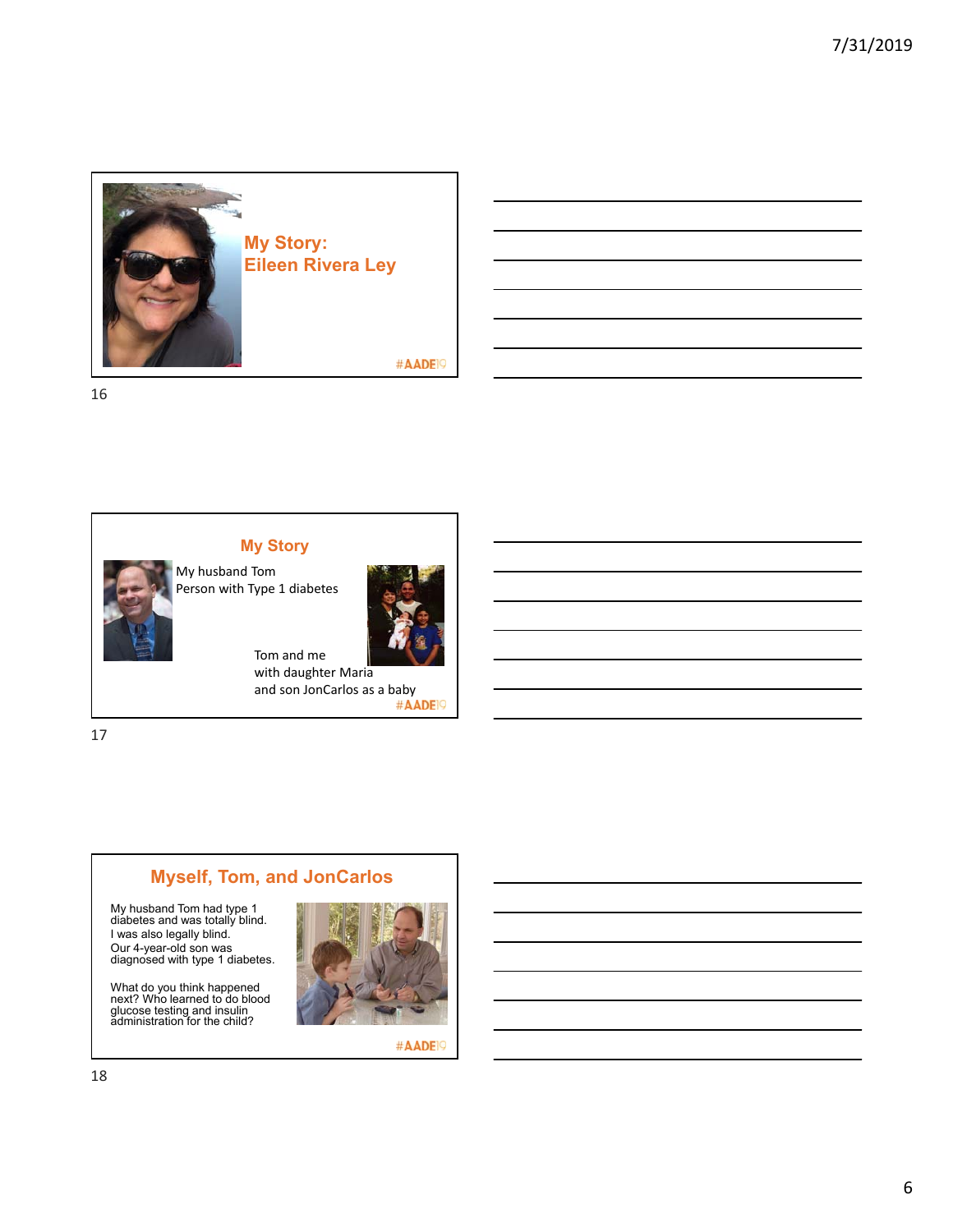

16



My husband Tom Person with Type 1 diabetes

**My Story**



Tom and me with daughter Maria and son JonCarlos as a baby<br>#AADEP

17

# **Myself, Tom, and JonCarlos**

My husband Tom had type 1 diabetes and was totally blind. I was also legally blind. Our 4-year-old son was diagnosed with type 1 diabetes.

What do you think happened next? Who learned to do blood glucose testing and insulin administration for the child?

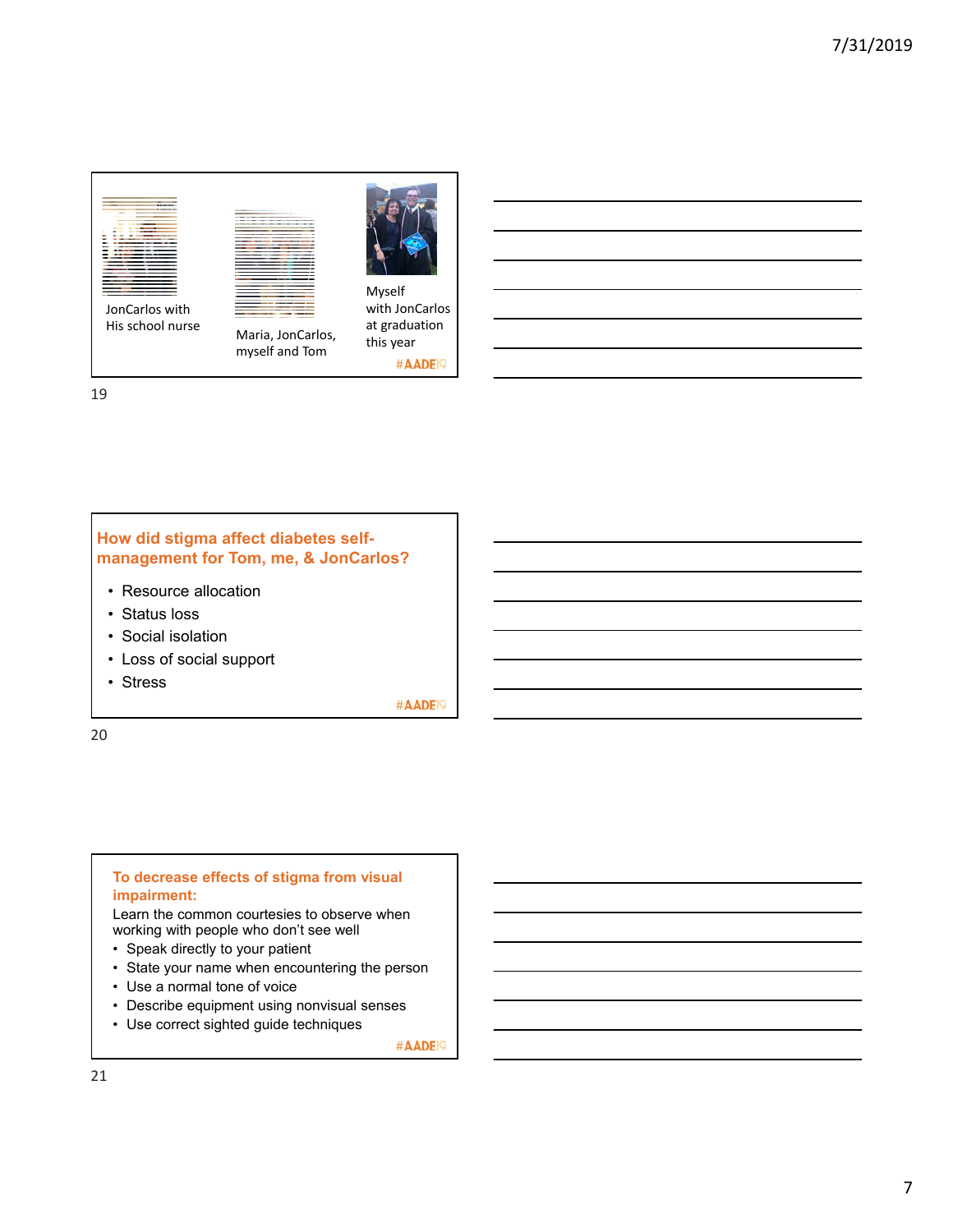

Maria, JonCarlos, myself and Tom



at graduation this year #AADE<sup>19</sup>

19

## **How did stigma affect diabetes selfmanagement for Tom, me, & JonCarlos?**

- Resource allocation
- Status loss
- Social isolation
- Loss of social support
- Stress

#AADE<sup>19</sup>

20

## **To decrease effects of stigma from visual impairment:** Learn the common courtesies to observe when working with people who don't see well

- Speak directly to your patient
- State your name when encountering the person
- Use a normal tone of voice
- Describe equipment using nonvisual senses
- Use correct sighted guide techniques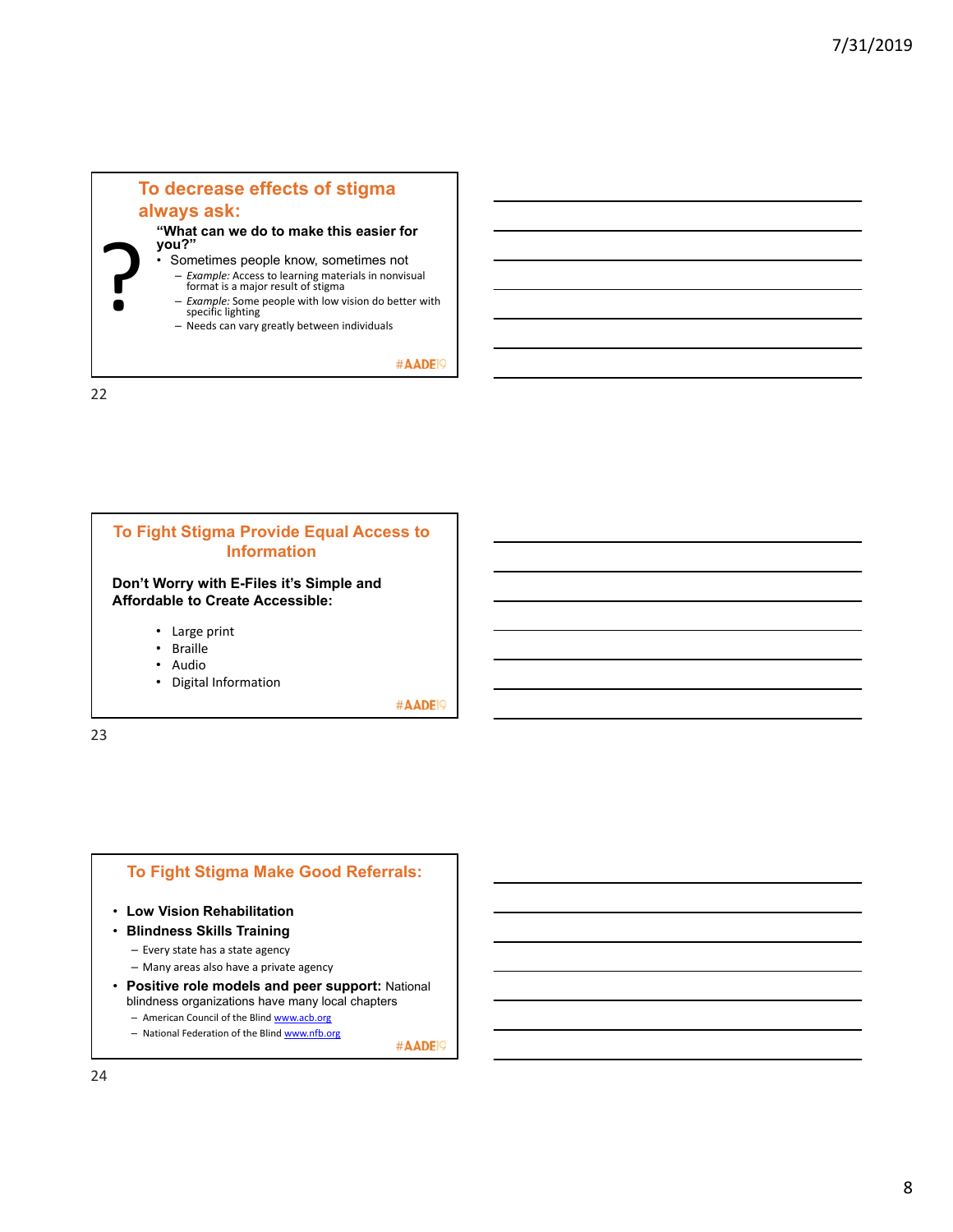

22



# **To Fight Stigma Make Good Referrals:**

- **Low Vision Rehabilitation**
- **Blindness Skills Training**
	- Every state has a state agency
	- Many areas also have a private agency
- **Positive role models and peer support:** National blindness organizations have many local chapters
	- American Council of the Blind www.acb.org
	- National Federation of the Blind www.nfb.org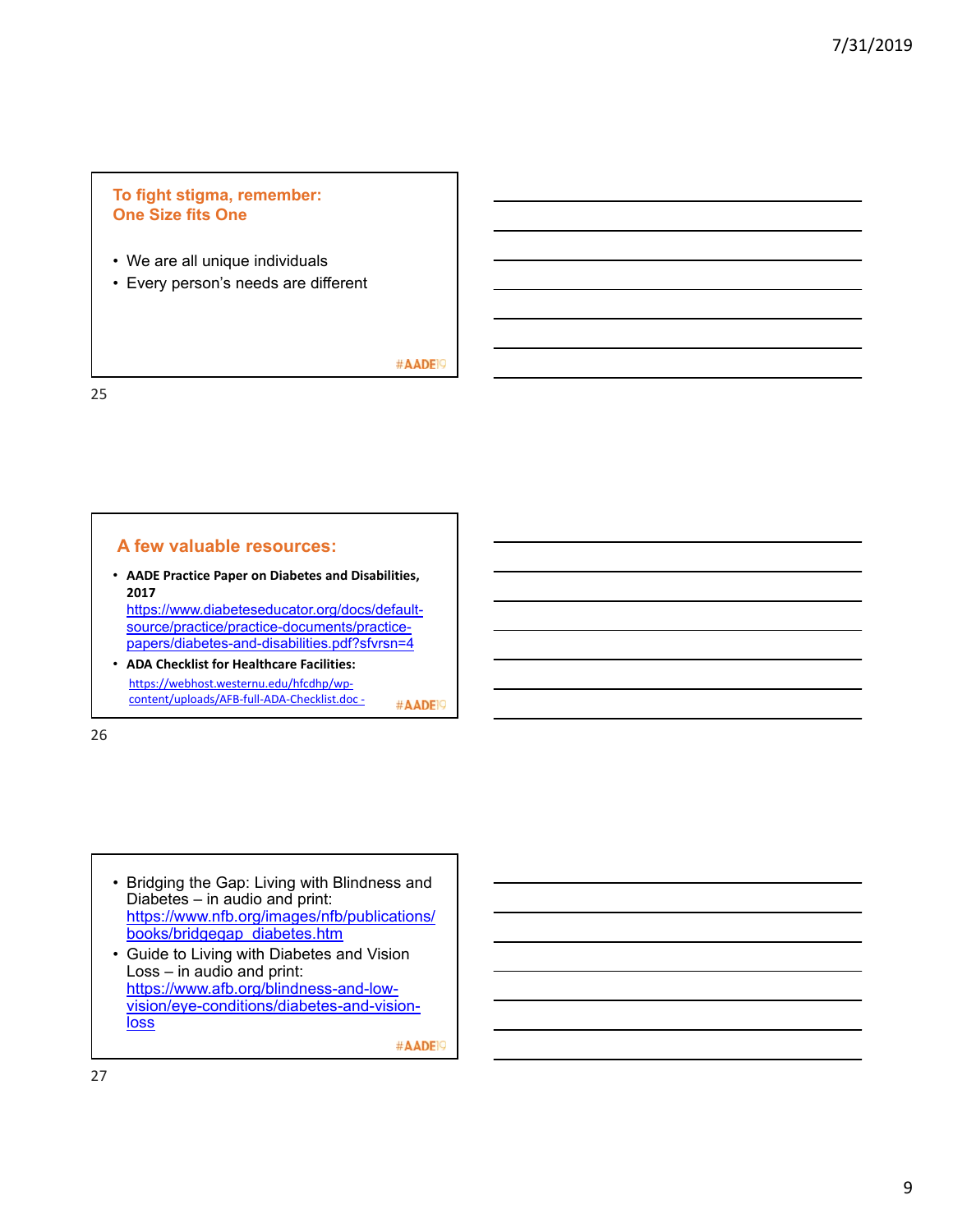## **To fight stigma, remember: One Size fits One**

- We are all unique individuals
- Every person's needs are different

#AADE<sup>19</sup>

25

#### **A few valuable resources:**

• **AADE Practice Paper on Diabetes and Disabilities, 2017**  https://www.diabeteseducator.org/docs/defaultsource/practice/practice-documents/practice-

papers/diabetes-and-disabilities.pdf?sfvrsn=4

• **ADA Checklist for Healthcare Facilities:** https://webhost.westernu.edu/hfcdhp/wp‐ content/uploads/AFB‐full‐ADA‐Checklist.doc ‐ #AADE<sup>19</sup>

26

• Bridging the Gap: Living with Blindness and Diabetes – in audio and print: https://www.nfb.org/images/nfb/publications/ books/bridgegap\_diabetes.htm

• Guide to Living with Diabetes and Vision Loss – in audio and print: https://www.afb.org/blindness-and-lowvision/eye-conditions/diabetes-and-vision**loss**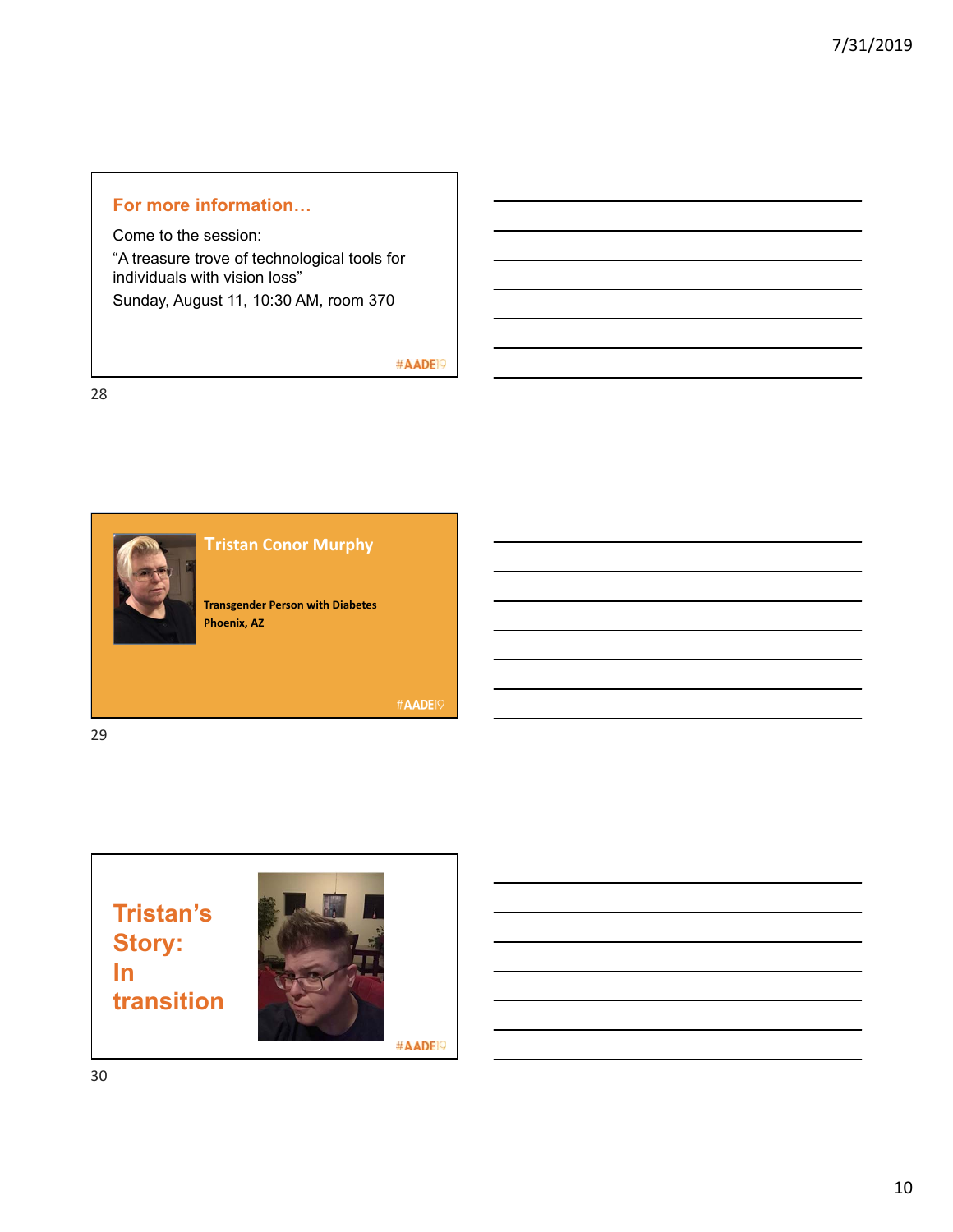# **For more information…**

Come to the session: "A treasure trove of technological tools for individuals with vision loss" Sunday, August 11, 10:30 AM, room 370

### #AADE<sup>19</sup>





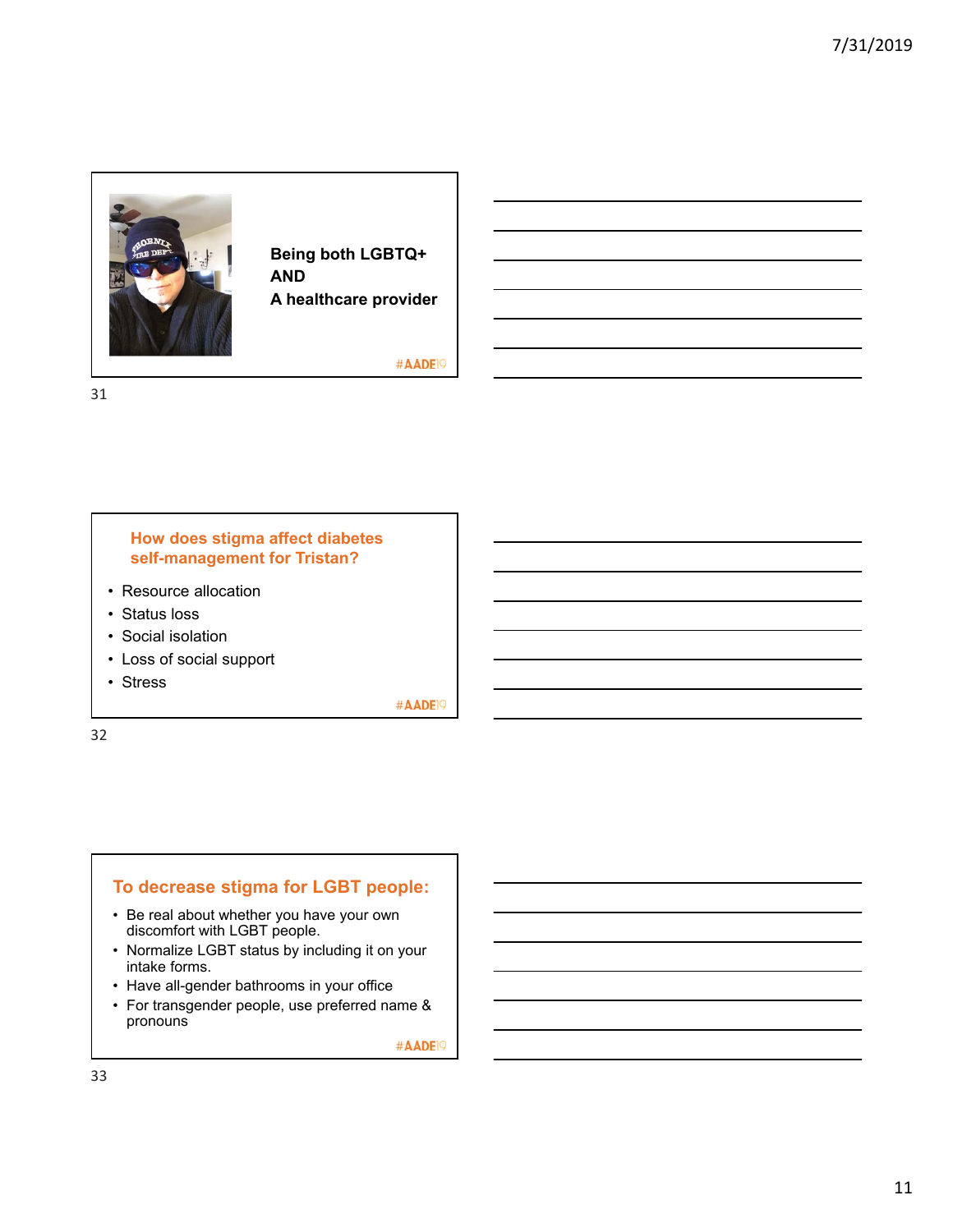

**Being both LGBTQ+ AND A healthcare provider**

#AADE<sup>19</sup>

31

#### **How does stigma affect diabetes self-management for Tristan?**

- Resource allocation
- Status loss
- Social isolation
- Loss of social support
- Stress

#AADE<sup>19</sup>

32

## **To decrease stigma for LGBT people:**

- Be real about whether you have your own discomfort with LGBT people.
- Normalize LGBT status by including it on your intake forms.
- Have all-gender bathrooms in your office
- For transgender people, use preferred name & pronouns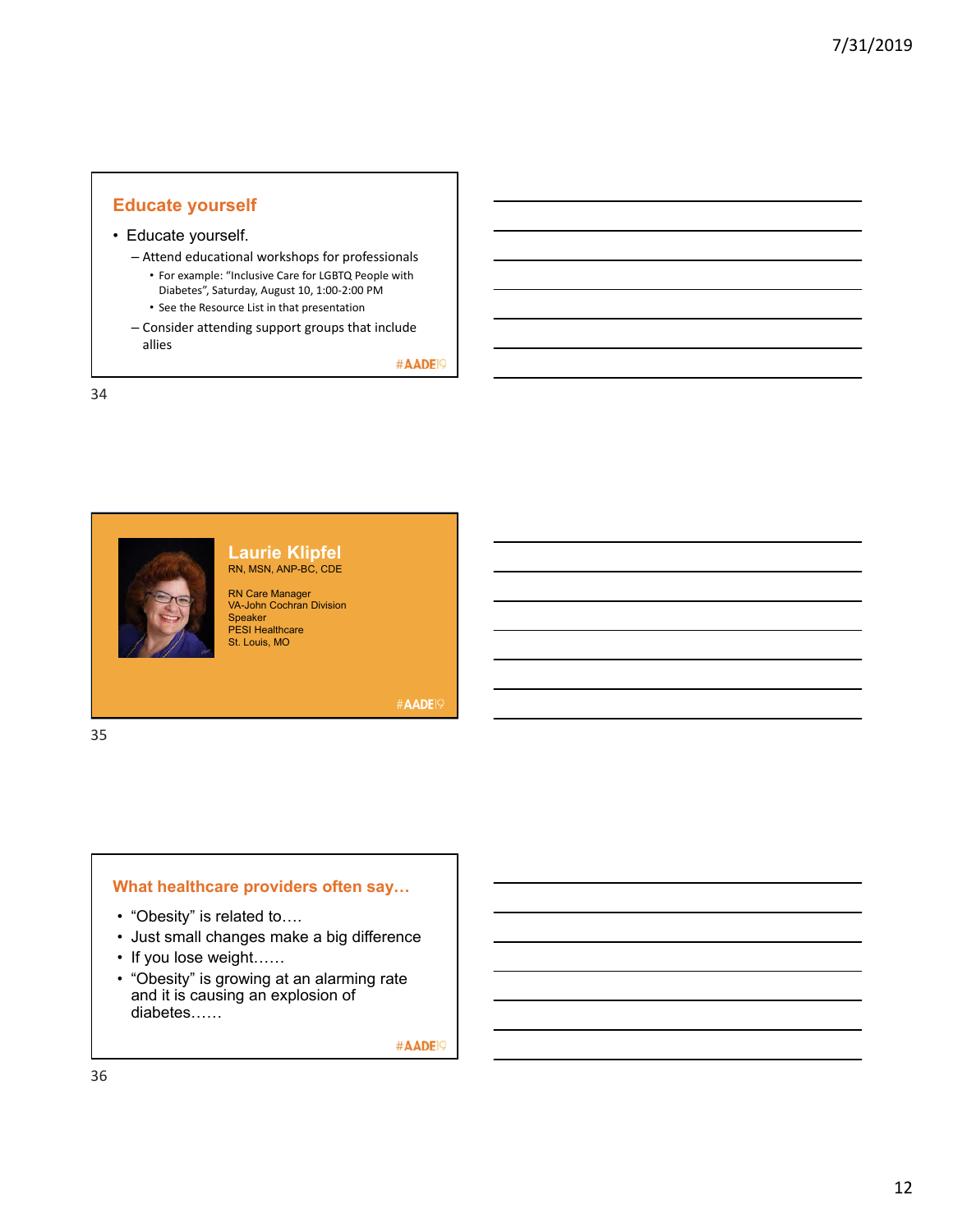## **Educate yourself**

#### • Educate yourself.

– Attend educational workshops for professionals

- For example: "Inclusive Care for LGBTQ People with Diabetes", Saturday, August 10, 1:00‐2:00 PM
- See the Resource List in that presentation
- Consider attending support groups that include allies

#AADE<sup>19</sup>

34



#### **Laurie Klipfel** RN, MSN, ANP-BC, CDE

RN Care Manager VA-John Cochran Division Speaker PESI Healthcare St. Louis, MO

**#AADE19** 

- "Obesity" is related to….
- Just small changes make a big difference

**What healthcare providers often say…**

- If you lose weight……
- "Obesity" is growing at an alarming rate and it is causing an explosion of diabetes……

#AADE<sup>19</sup>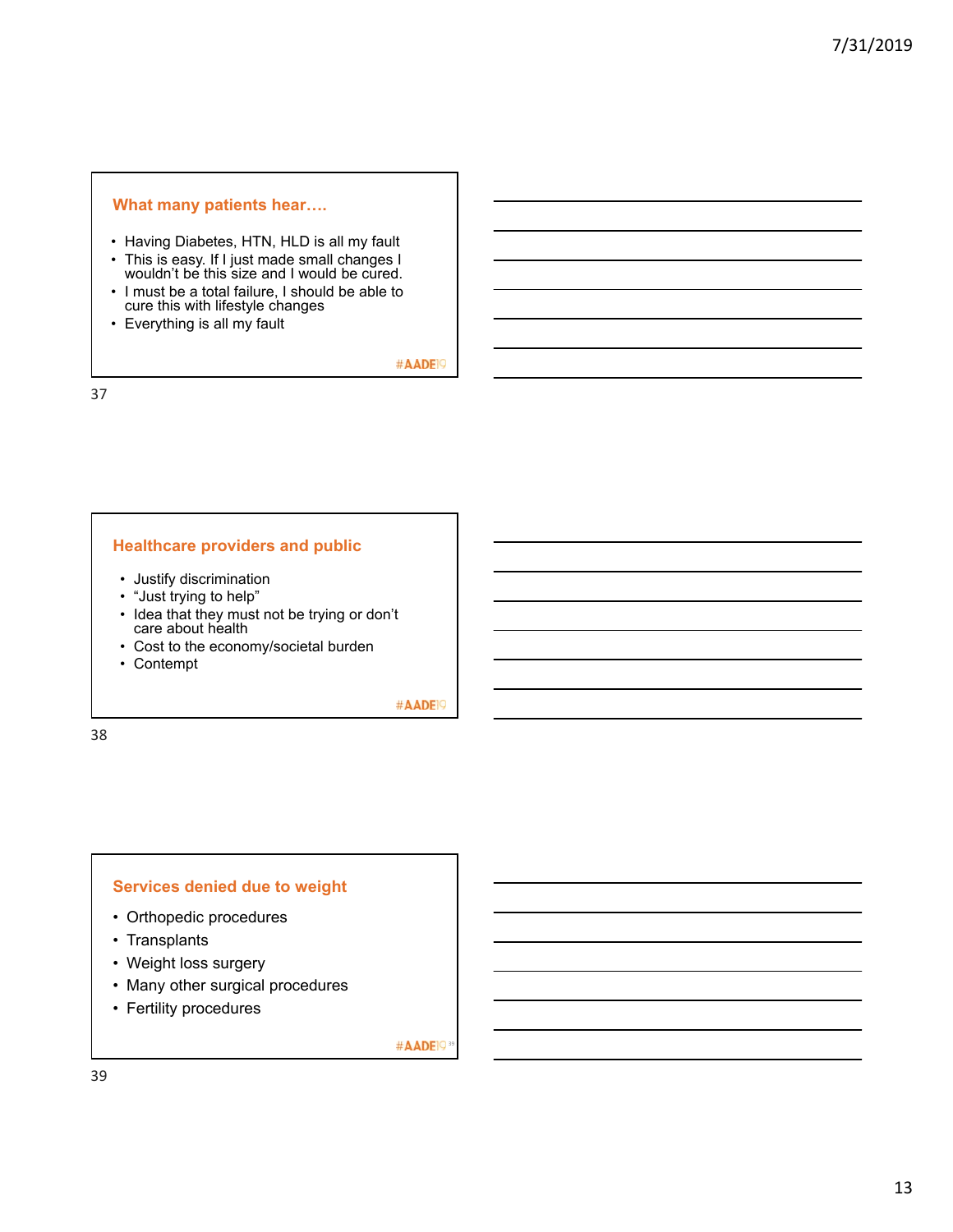#### **What many patients hear….**

- Having Diabetes, HTN, HLD is all my fault
- This is easy. If I just made small changes I wouldn't be this size and I would be cured.
- I must be a total failure, I should be able to cure this with lifestyle changes
- Everything is all my fault

#AADE<sup>19</sup>

37

#### **Healthcare providers and public**

- Justify discrimination
- "Just trying to help"
- Idea that they must not be trying or don't care about health
- Cost to the economy/societal burden
- Contempt

#AADE<sup>19</sup>

38

#### **Services denied due to weight**

- Orthopedic procedures
- Transplants
- Weight loss surgery
- Many other surgical procedures
- Fertility procedures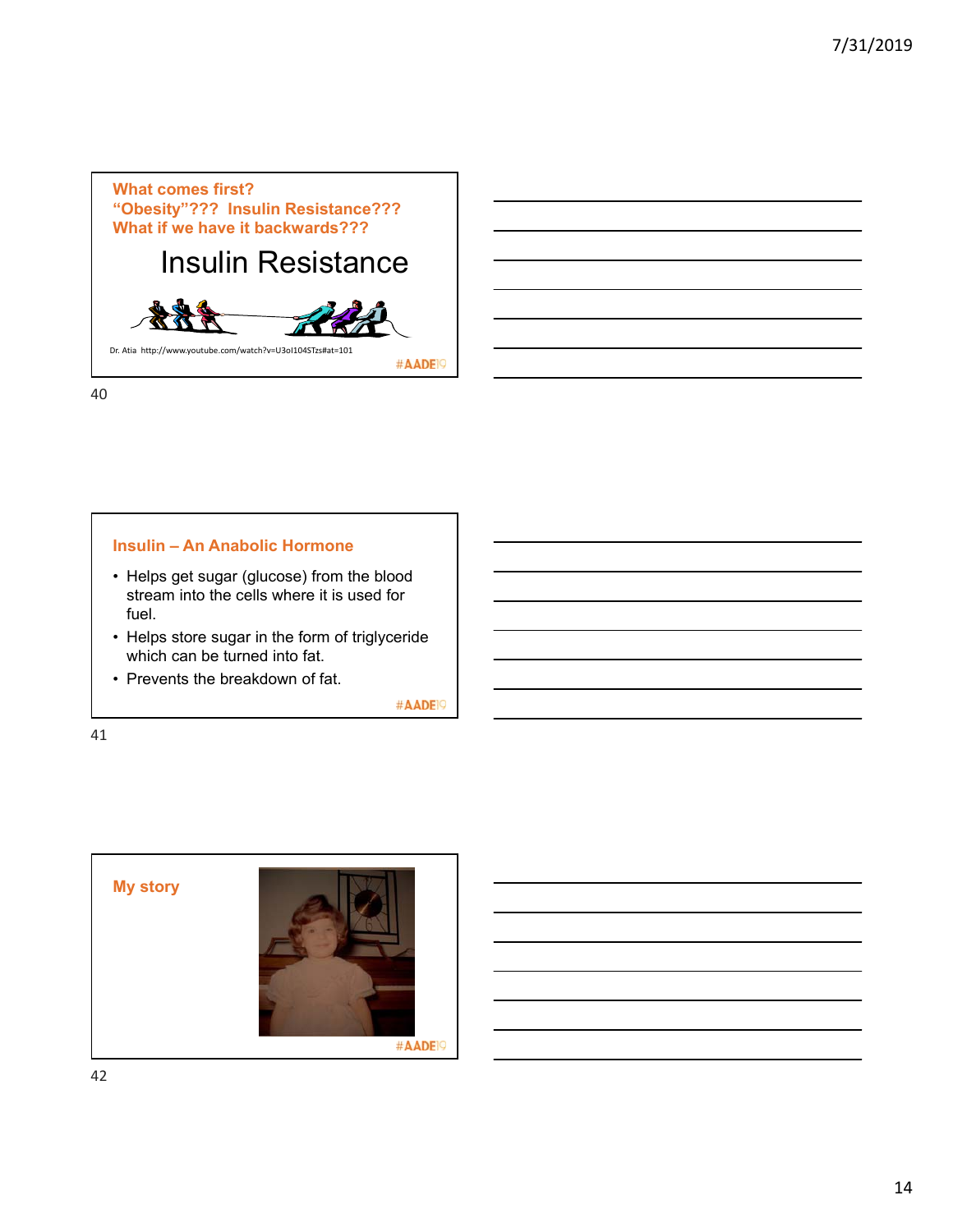

#### **Insulin – An Anabolic Hormone**

- Helps get sugar (glucose) from the blood stream into the cells where it is used for fuel.
- Helps store sugar in the form of triglyceride which can be turned into fat.
- Prevents the breakdown of fat.

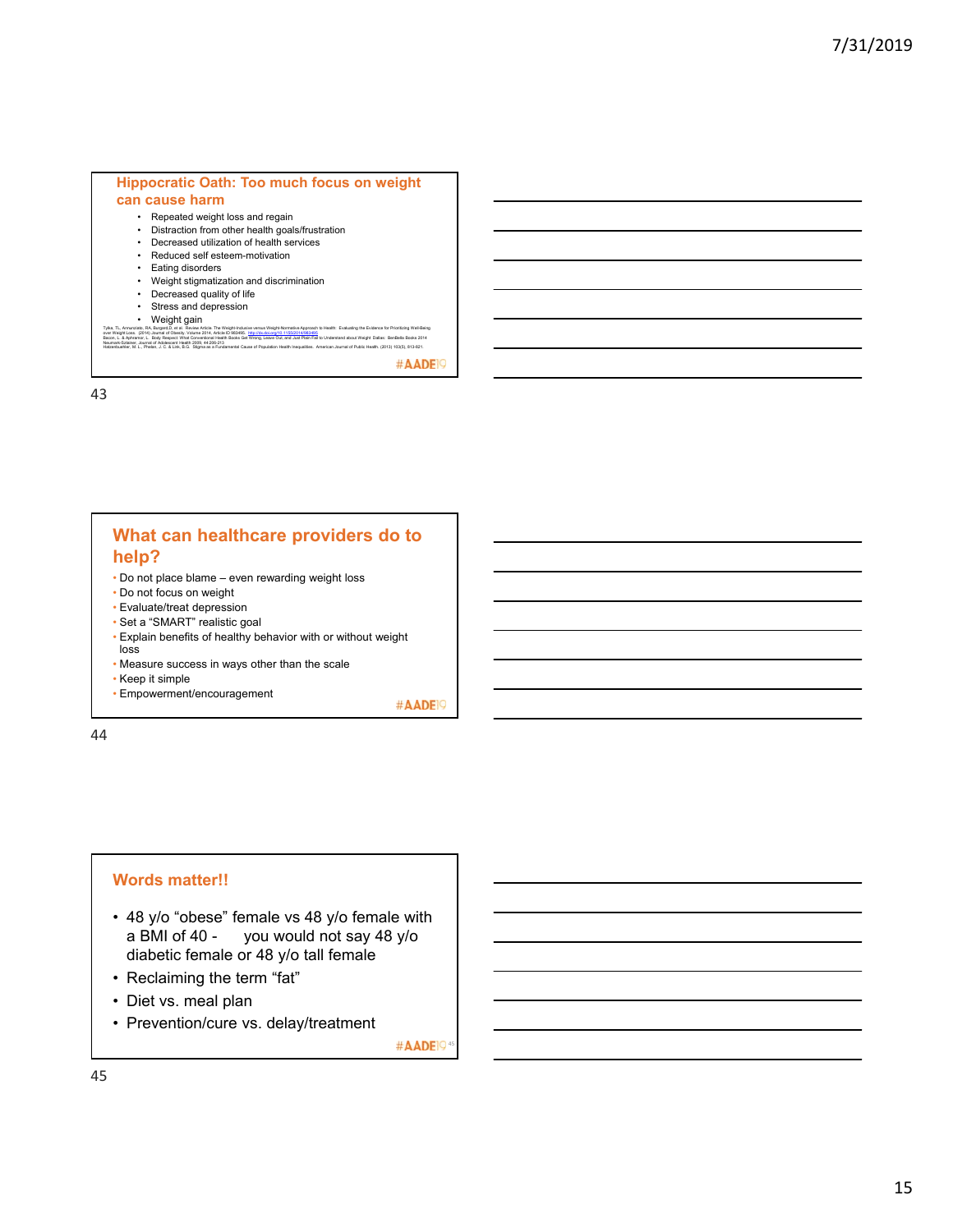#### **Hippocratic Oath: Too much focus on weight can cause harm**

#### • Repeated weight loss and regain

- Distraction from other health goals/frustration
- Decreased utilization of health services
- Reduced self esteem-motivation
- Eating disorders
- Weight stigmatization and discrimination
- Decreased quality of life
- Stress and depression
- Weight gain

Tyle, TL, Annunsia, RA, Bugard, et al. Review Artist: The Weigh-Rostown Integration of Sphanith Evaluating the Evidence for Prioritising Weil-Being<br>Beam, L. A. Annuncia, L. Boby Responsibles, 2014, Rostown Back Committee (

#AADE<sup>19</sup>

43

#### **What can healthcare providers do to help?**

- Do not place blame even rewarding weight loss
- Do not focus on weight
- Evaluate/treat depression
- Set a "SMART" realistic goal
- Explain benefits of healthy behavior with or without weight loss
- Measure success in ways other than the scale
- Keep it simple

• Empowerment/encouragement #AADEI9

44

#### **Words matter!!**

- 48 y/o "obese" female vs 48 y/o female with a BMI of 40 - you would not say 48 y/o diabetic female or 48 y/o tall female
- Reclaiming the term "fat"
- Diet vs. meal plan
- Prevention/cure vs. delay/treatment